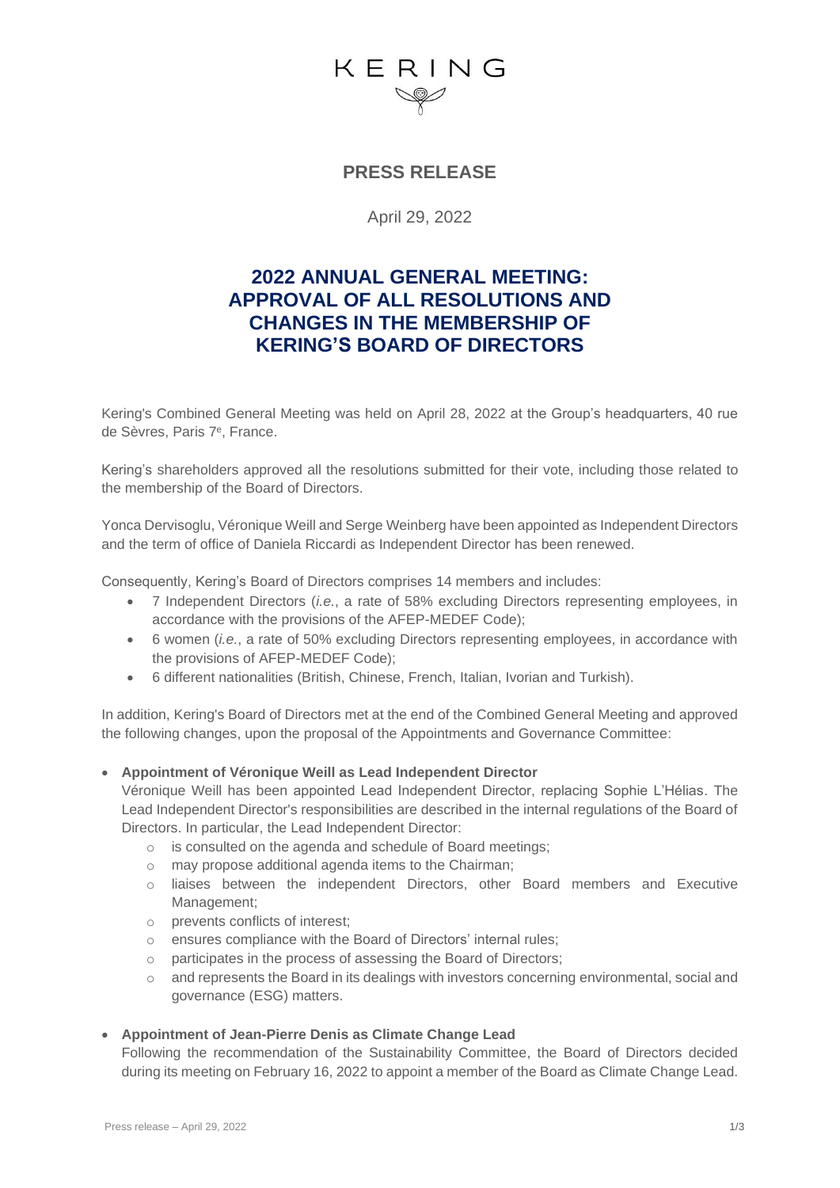# KERING

### **PRESS RELEASE**

April 29, 2022

### **2022 ANNUAL GENERAL MEETING: APPROVAL OF ALL RESOLUTIONS AND CHANGES IN THE MEMBERSHIP OF KERING'S BOARD OF DIRECTORS**

Kering's Combined General Meeting was held on April 28, 2022 at the Group's headquarters, 40 rue de Sèvres, Paris 7<sup>e</sup> , France.

Kering's shareholders approved all the resolutions submitted for their vote, including those related to the membership of the Board of Directors.

Yonca Dervisoglu, Véronique Weill and Serge Weinberg have been appointed as Independent Directors and the term of office of Daniela Riccardi as Independent Director has been renewed.

Consequently, Kering's Board of Directors comprises 14 members and includes:

- 7 Independent Directors (*i.e.*, a rate of 58% excluding Directors representing employees, in accordance with the provisions of the AFEP-MEDEF Code);
- 6 women (*i.e.*, a rate of 50% excluding Directors representing employees, in accordance with the provisions of AFEP-MEDEF Code);
- 6 different nationalities (British, Chinese, French, Italian, Ivorian and Turkish).

In addition, Kering's Board of Directors met at the end of the Combined General Meeting and approved the following changes, upon the proposal of the Appointments and Governance Committee:

#### • **Appointment of Véronique Weill as Lead Independent Director**

Véronique Weill has been appointed Lead Independent Director, replacing Sophie L'Hélias. The Lead Independent Director's responsibilities are described in the internal regulations of the Board of Directors. In particular, the Lead Independent Director:

- o is consulted on the agenda and schedule of Board meetings;
- o may propose additional agenda items to the Chairman;
- o liaises between the independent Directors, other Board members and Executive Management;
- o prevents conflicts of interest;
- o ensures compliance with the Board of Directors' internal rules;
- o participates in the process of assessing the Board of Directors;
- o and represents the Board in its dealings with investors concerning environmental, social and governance (ESG) matters.

#### • **Appointment of Jean-Pierre Denis as Climate Change Lead**

Following the recommendation of the Sustainability Committee, the Board of Directors decided during its meeting on February 16, 2022 to appoint a member of the Board as Climate Change Lead.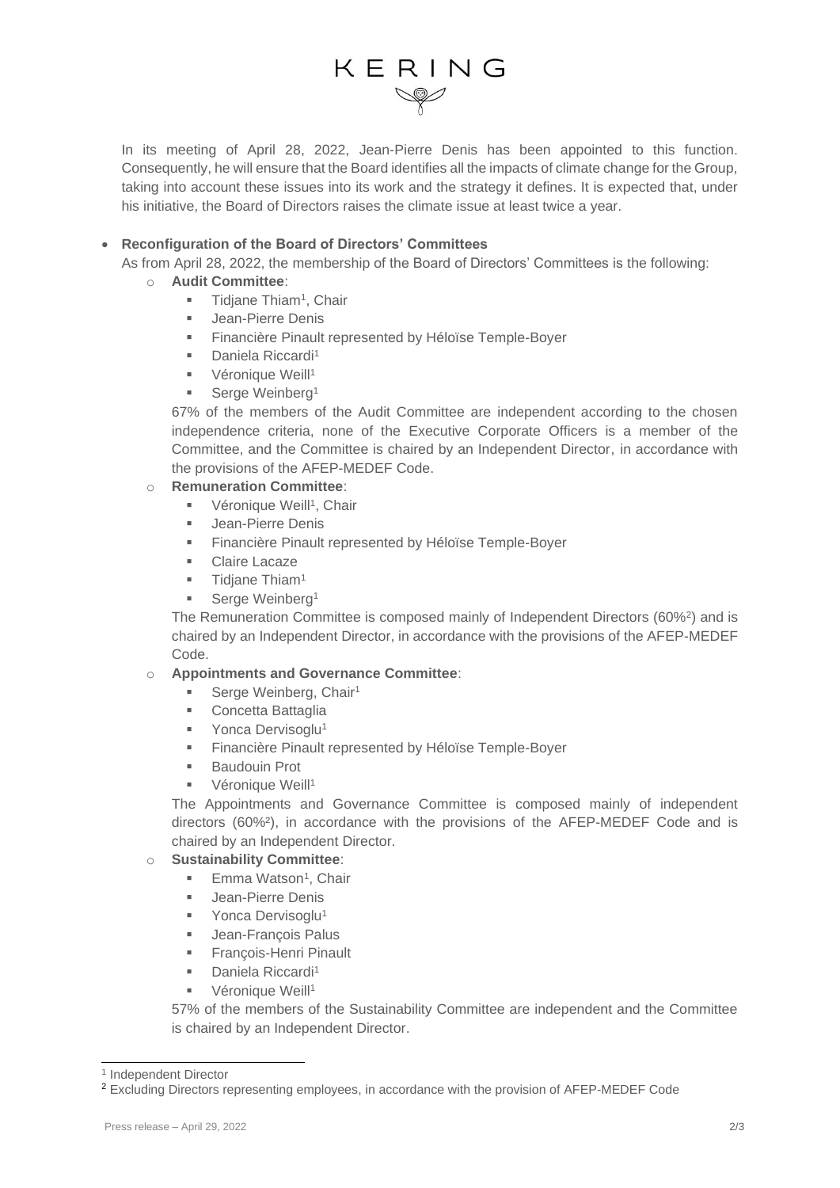# KERING

In its meeting of April 28, 2022, Jean-Pierre Denis has been appointed to this function. Consequently, he will ensure that the Board identifies all the impacts of climate change for the Group, taking into account these issues into its work and the strategy it defines. It is expected that, under his initiative, the Board of Directors raises the climate issue at least twice a year.

#### • **Reconfiguration of the Board of Directors' Committees**

As from April 28, 2022, the membership of the Board of Directors' Committees is the following:

- o **Audit Committee**:
	- **•** Tidjane Thiam<sup>1</sup>, Chair
	- Jean-Pierre Denis
	- Financière Pinault represented by Héloïse Temple-Boyer
	- Daniela Riccardi<sup>1</sup>
	- **•** Véronique Weill<sup>1</sup>
	- **■** Serge Weinberg<sup>1</sup>

67% of the members of the Audit Committee are independent according to the chosen independence criteria, none of the Executive Corporate Officers is a member of the Committee, and the Committee is chaired by an Independent Director, in accordance with the provisions of the AFEP-MEDEF Code.

#### o **Remuneration Committee**:

- **Véronique Weill<sup>1</sup>, Chair**
- Jean-Pierre Denis
- Financière Pinault represented by Héloïse Temple-Boyer
- **Claire Lacaze**
- **■** Tidjane Thiam<sup>1</sup>
- Serge Weinberg<sup>1</sup>

The Remuneration Committee is composed mainly of Independent Directors (60%<sup>2</sup>) and is chaired by an Independent Director, in accordance with the provisions of the AFEP-MEDEF Code.

#### o **Appointments and Governance Committee**:

- Serge Weinberg, Chair<sup>1</sup>
- Concetta Battaglia
- Yonca Dervisoglu<sup>1</sup>
- **EXECTE FINALLY** Finault represented by Héloïse Temple-Boyer
- **Baudouin Prot**
- Véronique Weill<sup>1</sup>

The Appointments and Governance Committee is composed mainly of independent directors (60%²), in accordance with the provisions of the AFEP-MEDEF Code and is chaired by an Independent Director.

#### o **Sustainability Committee**:

- Emma Watson<sup>1</sup>, Chair
- Jean-Pierre Denis
- Yonca Dervisoglu<sup>1</sup>
- Jean-Francois Palus
- **Example: Francois-Henri Pinault**
- Daniela Riccardi<sup>1</sup>
- Véronique Weill<sup>1</sup>

57% of the members of the Sustainability Committee are independent and the Committee is chaired by an Independent Director.

<sup>1</sup> Independent Director

<sup>2</sup> Excluding Directors representing employees, in accordance with the provision of AFEP-MEDEF Code